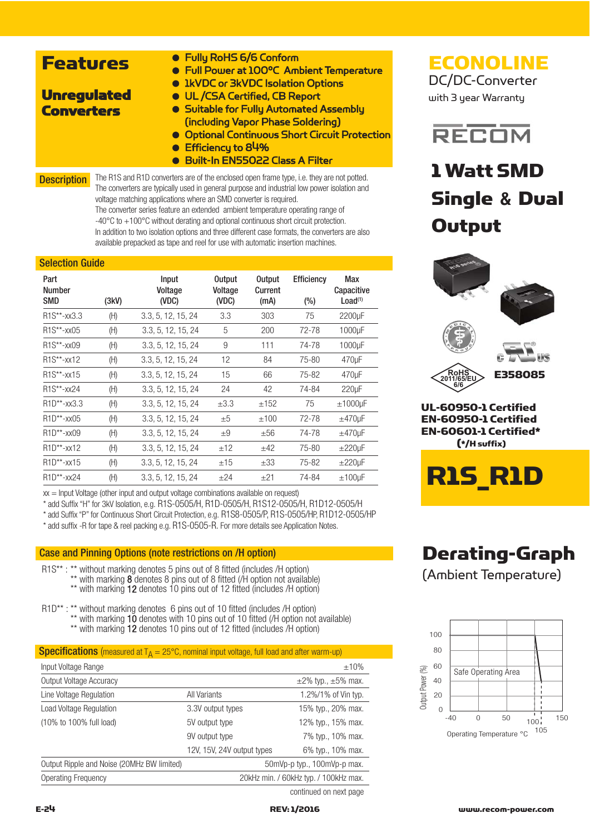| <b>Features</b>    | • Fully RoHS 6/6 Conform<br>• Full Power at 100°C Ambient Temperature<br>• IkVDC or 3kVDC Isolation Options                                                                                             |
|--------------------|---------------------------------------------------------------------------------------------------------------------------------------------------------------------------------------------------------|
| <b>Unregulated</b> | <b>. UL /CSA Certified, CB Report</b>                                                                                                                                                                   |
| <b>Converters</b>  | • Suitable for Fully Automated Assembly<br>(including Vapor Phase Soldering)<br><b>• Optional Continuous Short Circuit Protection</b><br>$\bullet$ Efficiency to 84%<br>Built-In EN55022 Class A Filter |
| <b>Description</b> | The R1S and R1D converters are of the enclosed open frame type, i.e. they are not potted.<br>The converters are typically used in general purpose and industrial low power isolation and                |

voltage matching applications where an SMD converter is required. The converter series feature an extended ambient temperature operating range of -40°C to +100°C without derating and optional continuous short circuit protection. In addition to two isolation options and three different case formats, the converters are also available prepacked as tape and reel for use with automatic insertion machines.

### Selection Guide

| Part<br><b>Number</b><br>SMD        | (3kV) | Input<br>Voltage<br>(VDC) | <b>Output</b><br>Voltage<br>(VDC) | <b>Output</b><br>Current<br>(mA) | <b>Efficiency</b><br>$(\% )$ | Max<br>Capacitive<br>Load <sup>(1)</sup> |
|-------------------------------------|-------|---------------------------|-----------------------------------|----------------------------------|------------------------------|------------------------------------------|
| R <sub>1</sub> S**-xx3.3            | (H)   | 3.3, 5, 12, 15, 24        | 3.3                               | 303                              | 75                           | 2200µF                                   |
| R1S**-xx05                          | (H)   | 3.3, 5, 12, 15, 24        | 5                                 | 200                              | 72-78                        | 1000µF                                   |
| $R1S^{**}$ -xx09                    | (H)   | 3.3, 5, 12, 15, 24        | 9                                 | 111                              | 74-78                        | 1000µF                                   |
| R <sub>1</sub> S**-xx <sub>12</sub> | (H)   | 3.3, 5, 12, 15, 24        | 12                                | 84                               | 75-80                        | 470 <sub>u</sub> F                       |
| R <sub>1</sub> S**-xx <sub>15</sub> | (H)   | 3.3, 5, 12, 15, 24        | 15                                | 66                               | 75-82                        | 470 <sub>u</sub> F                       |
| R <sub>1</sub> S**-xx24             | (H)   | 3.3, 5, 12, 15, 24        | 24                                | 42                               | 74-84                        | 220 <sub>u</sub> F                       |
| $R1D^{**}$ -xx3.3                   | (H)   | 3.3, 5, 12, 15, 24        | $\pm 3.3$                         | ±152                             | 75                           | $±1000$ µF                               |
| $R1D^{**}$ -xx05                    | (H)   | 3.3, 5, 12, 15, 24        | ±5                                | ±100                             | 72-78                        | $±470 \mu F$                             |
| $R1D^{**}$ -xx09                    | (H)   | 3.3, 5, 12, 15, 24        | $+9$                              | $\pm 56$                         | 74-78                        | $±470 \mu F$                             |
| R <sub>1</sub> D**-xx <sub>12</sub> | (H)   | 3.3, 5, 12, 15, 24        | ±12                               | ±42                              | 75-80                        | $\pm 220$ µF                             |
| $R1D^{**}$ -xx15                    | (H)   | 3.3, 5, 12, 15, 24        | ±15                               | $\pm 33$                         | 75-82                        | $\pm 220$ µF                             |
| R1D**-xx24                          | (H)   | 3.3, 5, 12, 15, 24        | ±24                               | ±21                              | 74-84                        | $±100$ µF                                |

 $xx =$  Input Voltage (other input and output voltage combinations available on request)

\* add Suffix "H" for 3kV Isolation, e.g. R1S-0505/H, R1D-0505/H, R1S12-0505/H, R1D12-0505/H

\* add Suffix "P" for Continuous Short Circuit Protection, e.g. R1S8-0505/P, R1S-0505/HP, R1D12-0505/HP

\* add suffix -R for tape & reel packing e.g. R1S-0505-R. For more details see Application Notes.

### Case and Pinning Options (note restrictions on /H option)

R1S\*\* : \*\* without marking denotes 5 pins out of 8 fitted (includes /H option) \*\* with marking 8 denotes 8 pins out of 8 fitted ( $\hat{H}$  option not available)

\*\* with marking 12 denotes 10 pins out of 12 fitted (includes /H option)

R1D\*\* : \*\* without marking denotes 6 pins out of 10 fitted (includes /H option) \*\* with marking 10 denotes with 10 pins out of 10 fitted (/H option not available) \*\* with marking 12 denotes 10 pins out of 12 fitted (includes /H option)

|--|

| Input Voltage Range                        |                                       | $±10\%$                      |  |
|--------------------------------------------|---------------------------------------|------------------------------|--|
| Output Voltage Accuracy                    |                                       | $\pm$ 2% typ., $\pm$ 5% max. |  |
| Line Voltage Regulation                    | All Variants                          | 1.2%/1% of Vin typ.          |  |
| <b>Load Voltage Regulation</b>             | 3.3V output types                     | 15% typ., 20% max.           |  |
| (10% to 100% full load)                    | 5V output type                        | 12% typ., 15% max.           |  |
|                                            | 9V output type                        | 7% typ., 10% max.            |  |
|                                            | 12V, 15V, 24V output types            | 6% typ., 10% max.            |  |
| Output Ripple and Noise (20MHz BW limited) | 50mVp-p typ., 100mVp-p max.           |                              |  |
| Operating Frequency                        | 20kHz min. / 60kHz typ. / 100kHz max. |                              |  |
|                                            |                                       | continued on next page       |  |

# **ECONOLINE**

DC/DC-Converter with 3 year Warranty



# 1 Watt SMD Single **&** Dual **Output**



# Derating-Graph

(Ambient Temperature)

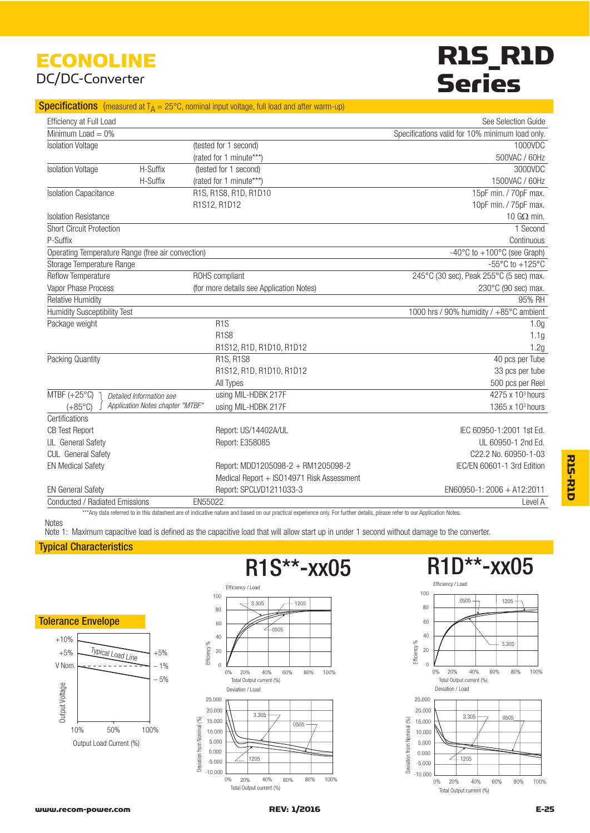# ECONOLINE DC/DC-Converter

# R1S\_R1D **Series**

### **Specifications** (measured at  $T_A = 25^{\circ}$ C, nominal input voltage, full load and after warm-up)

| Efficiency at Full Load                           |                                                      |                                           | See Selection Guide                                   |  |
|---------------------------------------------------|------------------------------------------------------|-------------------------------------------|-------------------------------------------------------|--|
| Minimum Load $= 0\%$                              |                                                      |                                           | Specifications valid for 10% minimum load only.       |  |
| <b>Isolation Voltage</b>                          |                                                      | (tested for 1 second)                     | 1000VDC                                               |  |
|                                                   |                                                      | (rated for 1 minute***)                   | 500VAC / 60Hz                                         |  |
| <b>Isolation Voltage</b>                          | H-Suffix                                             | (tested for 1 second)                     | 3000VDC                                               |  |
|                                                   | H-Suffix                                             | (rated for 1 minute***)                   | 1500VAC / 60Hz                                        |  |
| <b>Isolation Capacitance</b>                      |                                                      | R1S, R1S8, R1D, R1D10                     | 15pF min. / 70pF max.                                 |  |
|                                                   |                                                      | R1S12, R1D12                              | 10pF min. / 75pF max.                                 |  |
| <b>Isolation Resistance</b>                       |                                                      |                                           | 10 $G\Omega$ min.                                     |  |
| <b>Short Circuit Protection</b>                   |                                                      |                                           | 1 Second                                              |  |
| P-Suffix                                          |                                                      |                                           | Continuous                                            |  |
| Operating Temperature Range (free air convection) |                                                      |                                           | $-40^{\circ}$ C to $+100^{\circ}$ C (see Graph)       |  |
| Storage Temperature Range                         |                                                      |                                           | -55 $\mathrm{^{\circ}C}$ to +125 $\mathrm{^{\circ}C}$ |  |
| Reflow Temperature                                |                                                      | ROHS compliant                            | 245°C (30 sec), Peak 255°C (5 sec) max.               |  |
| Vapor Phase Process                               |                                                      | (for more details see Application Notes)  | 230°C (90 sec) max.                                   |  |
| <b>Relative Humidity</b>                          |                                                      |                                           | 95% RH                                                |  |
| <b>Humidity Susceptibility Test</b>               |                                                      |                                           | 1000 hrs / 90% humidity / +85°C ambient               |  |
| Package weight                                    |                                                      | R1S                                       | 1.0 <sub>g</sub>                                      |  |
|                                                   |                                                      | <b>R1S8</b>                               | 1.1g                                                  |  |
|                                                   |                                                      | R1S12, R1D, R1D10, R1D12                  | 1.2g                                                  |  |
| Packing Quantity                                  |                                                      | R1S, R1S8                                 | 40 pcs per Tube                                       |  |
|                                                   |                                                      | R1S12, R1D, R1D10, R1D12                  | 33 pcs per tube                                       |  |
|                                                   |                                                      | All Types                                 | 500 pcs per Reel                                      |  |
| MTBF $(+25^{\circ}C)$                             | Detailed Information see                             | using MIL-HDBK 217F                       | 4275 x 10 <sup>3</sup> hours                          |  |
| $(+85^{\circ}C)$                                  | Application Notes chapter "MTBF"                     | using MIL-HDBK 217F                       | 1365 x 10 <sup>3</sup> hours                          |  |
| Certifications                                    |                                                      |                                           |                                                       |  |
| <b>CB Test Report</b>                             |                                                      | Report: US/14402A/UL                      | IEC 60950-1:2001 1st Ed.                              |  |
| UL General Safety                                 |                                                      | Report: E358085                           | UL 60950-1 2nd Ed.                                    |  |
| <b>CUL</b> General Safety                         |                                                      |                                           | C22.2 No. 60950-1-03                                  |  |
| <b>EN Medical Safety</b>                          |                                                      | Report: MDD1205098-2 + RM1205098-2        | IEC/EN 60601-1 3rd Edition                            |  |
|                                                   |                                                      | Medical Report + ISO14971 Risk Assessment |                                                       |  |
| <b>EN General Safety</b>                          |                                                      | Report: SPCLVD1211033-3                   | EN60950-1: 2006 + A12:2011                            |  |
|                                                   | Conducted / Radiated Emissions<br>EN55022<br>Level A |                                           |                                                       |  |

\*\*\*Any data referred to in this datasheet are of indicative nature and based on our practical experience only. For further details, please refer to our Application Notes

# **Notes**

Note 1: Maximum capacitive load is defined as the capacitive load that will allow start up in under 1 second without damage to the converter.

## Typical Characteristics





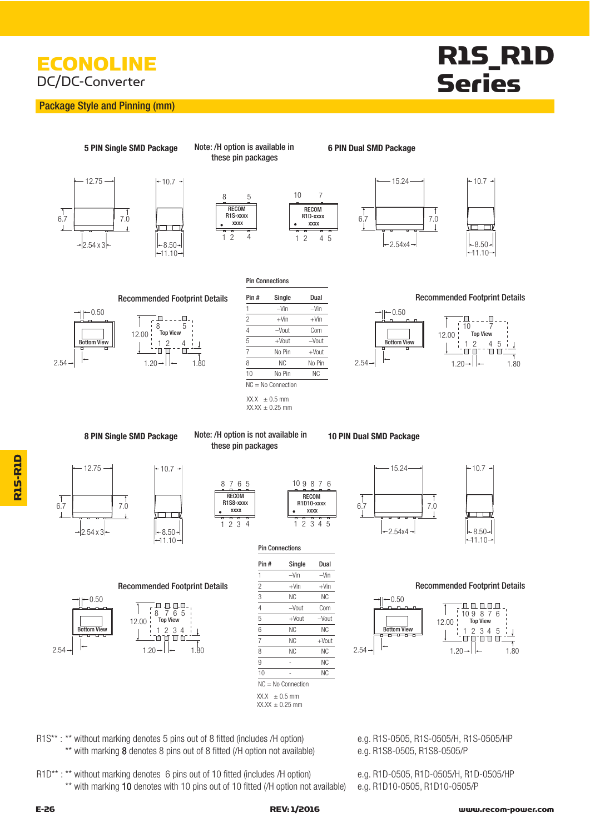# **ECONOLINE** DC/DC-Converter

## Package Style and Pinning (mm)

# R1S\_R1D Series





 $+10.7 +$  $\overline{\mathbf{r}}$  $+8.50+$  $-11.10$ 

5 PIN Single SMD Package Note: /H option is available in **6 PIN Dual SMD Package** Note: /H option is available in these pin packages



Pin Connections

4 5

**XXXX** 

.





 $-10.7 -$ 

Recommended Footprint Details Pin # Single Dual example and Recommended Footprint Details







 $XX.X \pm 0.5$  mm  $XX.XX \pm 0.25$  mm

8 PIN Single SMD Package Note: /H option is not available in **10 PIN Dual SMD Package** 



 $-11.10-$ 

 $-8.50+$ 

IO O

10.7



| 2 3 4 |                |                        | 2 3 4 5  |
|-------|----------------|------------------------|----------|
|       |                | <b>Pin Connections</b> |          |
|       | Pin#           | Single                 | Dual     |
|       | 1              | $-V$ in                | $-V$ in  |
| ails  | $\overline{c}$ | $+V$ in                | $+V$ in  |
|       | 3              | <b>NC</b>              | ΝC       |
|       | 4              | -Vout                  | Com      |
|       | 5              | $+$ Vout               | $-V$ out |

8 7 6 5 10

**RECOM** R1S8-xxxx **XXXX** 

these pin packages

|                          |    | $-V$ in              | $-V$ in   |      |
|--------------------------|----|----------------------|-----------|------|
| mended Footprint Details | 2  | $+V$ in              | $+V$ in   |      |
|                          | 3  | <b>NC</b>            | <b>NC</b> |      |
| հ<br>8<br>h              |    | $-V$ out             | Com       |      |
| <b>Top View</b><br>0     | 5  | $+$ Vout             | $-Vout$   |      |
| 2<br>3<br>4              | 6  | <b>NC</b>            | <b>NC</b> |      |
|                          |    | <b>NC</b>            | $+$ Vout  |      |
| $1.20 -$<br>1.80         | 8  | <b>NC</b>            | <b>NC</b> | 2.54 |
|                          | 9  |                      | <b>NC</b> |      |
|                          | 10 |                      | <b>NC</b> |      |
|                          |    | $NC = No$ Connection |           |      |

**RECOM** R1D10-xxxx XXXX

 $9876$ 



 $\sqrt{6.7}$ ा  $7.0$ a a  $|-2.54x4$  $|-8.50+$  $-1110-$ 

 $-15.24$ 



 $10.7$ 



R1S\*\*: \*\* without marking denotes 5 pins out of 8 fitted (includes /H option) e.g. R1S-0505, R1S-0505/H, R1S-0505/HP \*\* with marking 8 denotes 8 pins out of 8 fitted (/H option not available) e.g. R1S8-0505, R1S8-0505/P

R1D\*\* : \*\* without marking denotes 6 pins out of 10 fitted (includes /H option) e.g. R1D-0505, R1D-0505/H, R1D-0505/HP \*\* with marking 10 denotes with 10 pins out of 10 fitted (/H option not available) e.g. R1D10-0505, R1D10-0505/P